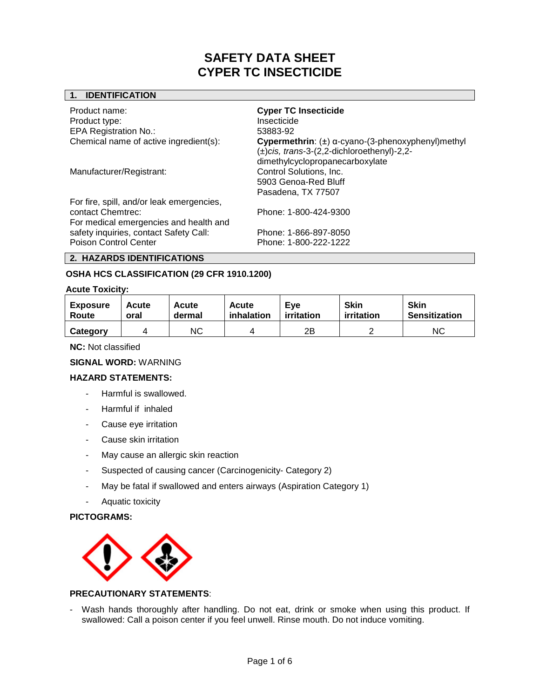# **1. IDENTIFICATION**

| Product name:<br>Product type:<br><b>EPA Registration No.:</b>                                           | <b>Cyper TC Insecticide</b><br>Insecticide<br>53883-92                                                                                              |
|----------------------------------------------------------------------------------------------------------|-----------------------------------------------------------------------------------------------------------------------------------------------------|
| Chemical name of active ingredient(s):                                                                   | Cypermethrin: $(\pm)$ $\alpha$ -cyano-(3-phenoxyphenyl)methyl<br>$(\pm)$ cis, trans-3-(2,2-dichloroethenyl)-2,2-<br>dimethylcyclopropanecarboxylate |
| Manufacturer/Registrant:                                                                                 | Control Solutions, Inc.<br>5903 Genoa-Red Bluff<br>Pasadena, TX 77507                                                                               |
| For fire, spill, and/or leak emergencies,<br>contact Chemtrec:<br>For medical emergencies and health and | Phone: 1-800-424-9300                                                                                                                               |
| safety inquiries, contact Safety Call:<br>Poison Control Center                                          | Phone: 1-866-897-8050<br>Phone: 1-800-222-1222                                                                                                      |

# **2. HAZARDS IDENTIFICATIONS**

# **OSHA HCS CLASSIFICATION (29 CFR 1910.1200)**

#### **Acute Toxicity:**

| <b>Exposure</b> | <b>Acute</b> | Acute  | Acute      | Eve        | <b>Skin</b> | <b>Skin</b>          |
|-----------------|--------------|--------|------------|------------|-------------|----------------------|
| Route           | oral         | dermal | inhalation | irritation | irritation  | <b>Sensitization</b> |
| Category        |              | ΝC     |            | 2Β         |             | ΝC                   |

**NC:** Not classified

## **SIGNAL WORD:** WARNING

## **HAZARD STATEMENTS:**

- Harmful is swallowed.
- Harmful if inhaled
- Cause eye irritation
- Cause skin irritation
- May cause an allergic skin reaction
- Suspected of causing cancer (Carcinogenicity- Category 2)
- May be fatal if swallowed and enters airways (Aspiration Category 1)
- Aquatic toxicity

# **PICTOGRAMS:**



## **PRECAUTIONARY STATEMENTS**:

- Wash hands thoroughly after handling. Do not eat, drink or smoke when using this product. If swallowed: Call a poison center if you feel unwell. Rinse mouth. Do not induce vomiting.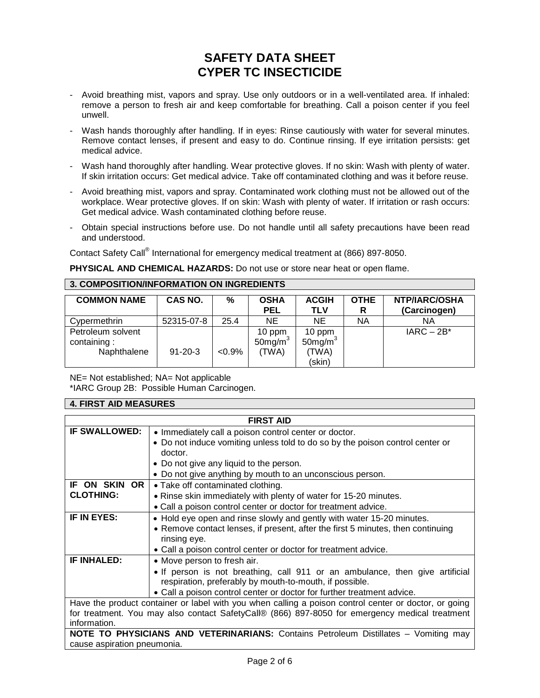- Avoid breathing mist, vapors and spray. Use only outdoors or in a well-ventilated area. If inhaled: remove a person to fresh air and keep comfortable for breathing. Call a poison center if you feel unwell.
- Wash hands thoroughly after handling. If in eyes: Rinse cautiously with water for several minutes. Remove contact lenses, if present and easy to do. Continue rinsing. If eye irritation persists: get medical advice.
- Wash hand thoroughly after handling. Wear protective gloves. If no skin: Wash with plenty of water. If skin irritation occurs: Get medical advice. Take off contaminated clothing and was it before reuse.
- Avoid breathing mist, vapors and spray. Contaminated work clothing must not be allowed out of the workplace. Wear protective gloves. If on skin: Wash with plenty of water. If irritation or rash occurs: Get medical advice. Wash contaminated clothing before reuse.
- Obtain special instructions before use. Do not handle until all safety precautions have been read and understood.

Contact Safety Call® International for emergency medical treatment at (866) 897-8050.

**PHYSICAL AND CHEMICAL HAZARDS:** Do not use or store near heat or open flame.

## **3. COMPOSITION/INFORMATION ON INGREDIENTS**

| <b>COMMON NAME</b>                              | CAS NO.       | %         | <b>OSHA</b><br><b>PEL</b>       | <b>ACGIH</b><br><b>TLV</b>                          | <b>OTHE</b><br>R | <b>NTP/IARC/OSHA</b><br>(Carcinogen) |
|-------------------------------------------------|---------------|-----------|---------------------------------|-----------------------------------------------------|------------------|--------------------------------------|
| Cypermethrin                                    | 52315-07-8    | 25.4      | <b>NE</b>                       | <b>NE</b>                                           | <b>NA</b>        | ΝA                                   |
| Petroleum solvent<br>containing:<br>Naphthalene | $91 - 20 - 3$ | $< 0.9\%$ | $10$ ppm<br>50mg/m $3$<br>(TWA) | 10 ppm<br>$50$ mg/m <sup>3</sup><br>(TWA)<br>(skin) |                  | $IARC - 2B*$                         |

NE= Not established; NA= Not applicable

\*IARC Group 2B: Possible Human Carcinogen.

## **4. FIRST AID MEASURES**

| <b>FIRST AID</b>                                                                                      |                                                                                 |  |  |  |
|-------------------------------------------------------------------------------------------------------|---------------------------------------------------------------------------------|--|--|--|
| <b>IF SWALLOWED:</b>                                                                                  | • Immediately call a poison control center or doctor.                           |  |  |  |
|                                                                                                       | • Do not induce vomiting unless told to do so by the poison control center or   |  |  |  |
|                                                                                                       | doctor.                                                                         |  |  |  |
|                                                                                                       | • Do not give any liquid to the person.                                         |  |  |  |
|                                                                                                       | • Do not give anything by mouth to an unconscious person.                       |  |  |  |
| IF ON SKIN OR                                                                                         | • Take off contaminated clothing.                                               |  |  |  |
| <b>CLOTHING:</b>                                                                                      | • Rinse skin immediately with plenty of water for 15-20 minutes.                |  |  |  |
|                                                                                                       | • Call a poison control center or doctor for treatment advice.                  |  |  |  |
| IF IN EYES:                                                                                           | • Hold eye open and rinse slowly and gently with water 15-20 minutes.           |  |  |  |
|                                                                                                       | • Remove contact lenses, if present, after the first 5 minutes, then continuing |  |  |  |
|                                                                                                       | rinsing eye.                                                                    |  |  |  |
|                                                                                                       | • Call a poison control center or doctor for treatment advice.                  |  |  |  |
| <b>IF INHALED:</b>                                                                                    | • Move person to fresh air.                                                     |  |  |  |
|                                                                                                       | • If person is not breathing, call 911 or an ambulance, then give artificial    |  |  |  |
|                                                                                                       | respiration, preferably by mouth-to-mouth, if possible.                         |  |  |  |
|                                                                                                       | • Call a poison control center or doctor for further treatment advice.          |  |  |  |
| Have the product container or label with you when calling a poison control center or doctor, or going |                                                                                 |  |  |  |
| for treatment. You may also contact SafetyCall® (866) 897-8050 for emergency medical treatment        |                                                                                 |  |  |  |
| information.                                                                                          |                                                                                 |  |  |  |
| NOTE TO PHYSICIANS AND VETERINARIANS: Contains Petroleum Distillates - Vomiting may                   |                                                                                 |  |  |  |
| cause aspiration pneumonia.                                                                           |                                                                                 |  |  |  |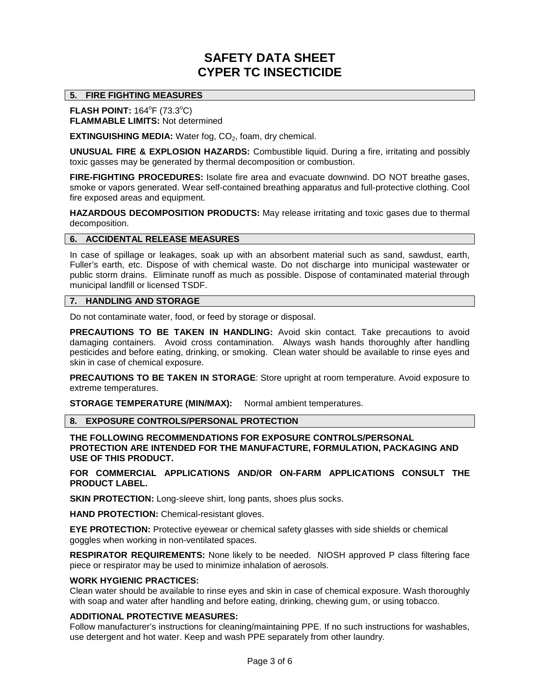# **5. FIRE FIGHTING MEASURES**

**FLASH POINT:** 164<sup>°</sup>F (73.3<sup>°</sup>C) **FLAMMABLE LIMITS:** Not determined

**EXTINGUISHING MEDIA:** Water fog, CO<sub>2</sub>, foam, dry chemical.

**UNUSUAL FIRE & EXPLOSION HAZARDS:** Combustible liquid. During a fire, irritating and possibly toxic gasses may be generated by thermal decomposition or combustion.

**FIRE-FIGHTING PROCEDURES:** Isolate fire area and evacuate downwind. DO NOT breathe gases, smoke or vapors generated. Wear self-contained breathing apparatus and full-protective clothing. Cool fire exposed areas and equipment.

**HAZARDOUS DECOMPOSITION PRODUCTS:** May release irritating and toxic gases due to thermal decomposition.

## **6. ACCIDENTAL RELEASE MEASURES**

In case of spillage or leakages, soak up with an absorbent material such as sand, sawdust, earth, Fuller's earth, etc. Dispose of with chemical waste. Do not discharge into municipal wastewater or public storm drains. Eliminate runoff as much as possible. Dispose of contaminated material through municipal landfill or licensed TSDF.

# **7. HANDLING AND STORAGE**

Do not contaminate water, food, or feed by storage or disposal.

**PRECAUTIONS TO BE TAKEN IN HANDLING:** Avoid skin contact. Take precautions to avoid damaging containers. Avoid cross contamination. Always wash hands thoroughly after handling pesticides and before eating, drinking, or smoking. Clean water should be available to rinse eyes and skin in case of chemical exposure.

**PRECAUTIONS TO BE TAKEN IN STORAGE**: Store upright at room temperature. Avoid exposure to extreme temperatures.

**STORAGE TEMPERATURE (MIN/MAX):** Normal ambient temperatures.

**8. EXPOSURE CONTROLS/PERSONAL PROTECTION**

**THE FOLLOWING RECOMMENDATIONS FOR EXPOSURE CONTROLS/PERSONAL PROTECTION ARE INTENDED FOR THE MANUFACTURE, FORMULATION, PACKAGING AND USE OF THIS PRODUCT.**

**FOR COMMERCIAL APPLICATIONS AND/OR ON-FARM APPLICATIONS CONSULT THE PRODUCT LABEL.**

**SKIN PROTECTION:** Long-sleeve shirt, long pants, shoes plus socks.

**HAND PROTECTION:** Chemical-resistant gloves.

**EYE PROTECTION:** Protective eyewear or chemical safety glasses with side shields or chemical goggles when working in non-ventilated spaces.

**RESPIRATOR REQUIREMENTS:** None likely to be needed. NIOSH approved P class filtering face piece or respirator may be used to minimize inhalation of aerosols.

#### **WORK HYGIENIC PRACTICES:**

Clean water should be available to rinse eyes and skin in case of chemical exposure. Wash thoroughly with soap and water after handling and before eating, drinking, chewing gum, or using tobacco.

## **ADDITIONAL PROTECTIVE MEASURES:**

Follow manufacturer's instructions for cleaning/maintaining PPE. If no such instructions for washables, use detergent and hot water. Keep and wash PPE separately from other laundry.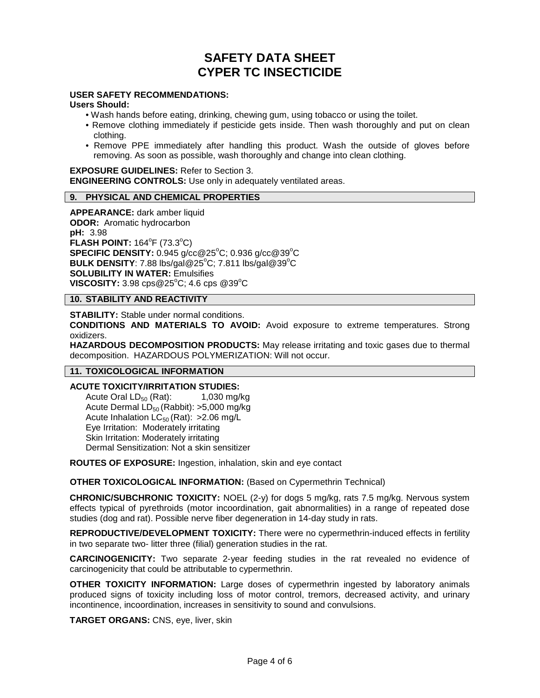# **USER SAFETY RECOMMENDATIONS:**

#### **Users Should:**

- Wash hands before eating, drinking, chewing gum, using tobacco or using the toilet.
- Remove clothing immediately if pesticide gets inside. Then wash thoroughly and put on clean clothing.
- Remove PPE immediately after handling this product. Wash the outside of gloves before removing. As soon as possible, wash thoroughly and change into clean clothing.

**EXPOSURE GUIDELINES:** Refer to Section 3. **ENGINEERING CONTROLS:** Use only in adequately ventilated areas.

# **9. PHYSICAL AND CHEMICAL PROPERTIES**

**APPEARANCE:** dark amber liquid **ODOR:** Aromatic hydrocarbon **pH:** 3.98 **FLASH POINT:** 164°F (73.3°C) **SPECIFIC DENSITY:** 0.945 g/cc@25°C; 0.936 g/cc@39°C BULK DENSITY: 7.88 lbs/gal@25°C; 7.811 lbs/gal@39°C **SOLUBILITY IN WATER:** Emulsifies **VISCOSITY:** 3.98 cps@25°C; 4.6 cps @39°C

# **10. STABILITY AND REACTIVITY**

**STABILITY:** Stable under normal conditions.

**CONDITIONS AND MATERIALS TO AVOID:** Avoid exposure to extreme temperatures. Strong oxidizers.

**HAZARDOUS DECOMPOSITION PRODUCTS:** May release irritating and toxic gases due to thermal decomposition. HAZARDOUS POLYMERIZATION: Will not occur.

## **11. TOXICOLOGICAL INFORMATION**

# **ACUTE TOXICITY/IRRITATION STUDIES:**<br>Acute Oral LD<sub>50</sub> (Rat): 1,030 mg/kg

Acute Oral  $LD_{50}$  (Rat): Acute Dermal  $LD_{50}$  (Rabbit): >5,000 mg/kg Acute Inhalation  $LC_{50}$  (Rat): > 2.06 mg/L Eye Irritation: Moderately irritating Skin Irritation: Moderately irritating Dermal Sensitization: Not a skin sensitizer

**ROUTES OF EXPOSURE:** Ingestion, inhalation, skin and eye contact

**OTHER TOXICOLOGICAL INFORMATION:** (Based on Cypermethrin Technical)

**CHRONIC/SUBCHRONIC TOXICITY:** NOEL (2-y) for dogs 5 mg/kg, rats 7.5 mg/kg. Nervous system effects typical of pyrethroids (motor incoordination, gait abnormalities) in a range of repeated dose studies (dog and rat). Possible nerve fiber degeneration in 14-day study in rats.

**REPRODUCTIVE/DEVELOPMENT TOXICITY:** There were no cypermethrin-induced effects in fertility in two separate two- litter three (filial) generation studies in the rat.

**CARCINOGENICITY:** Two separate 2-year feeding studies in the rat revealed no evidence of carcinogenicity that could be attributable to cypermethrin.

**OTHER TOXICITY INFORMATION:** Large doses of cypermethrin ingested by laboratory animals produced signs of toxicity including loss of motor control, tremors, decreased activity, and urinary incontinence, incoordination, increases in sensitivity to sound and convulsions.

**TARGET ORGANS:** CNS, eye, liver, skin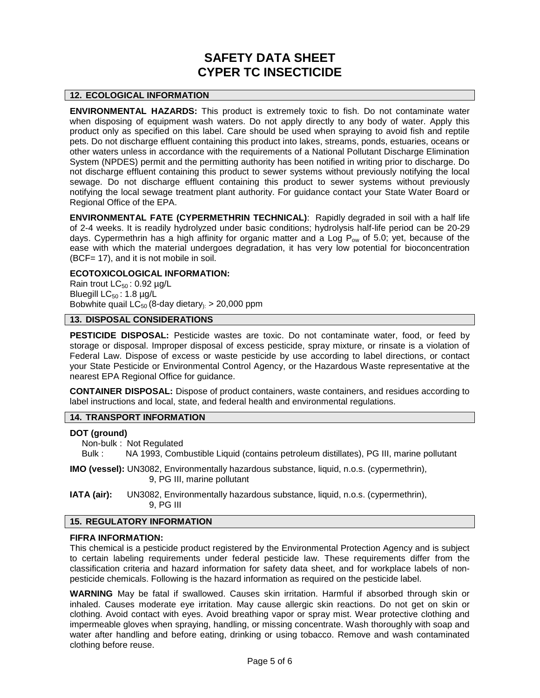## **12. ECOLOGICAL INFORMATION**

**ENVIRONMENTAL HAZARDS:** This product is extremely toxic to fish. Do not contaminate water when disposing of equipment wash waters. Do not apply directly to any body of water. Apply this product only as specified on this label. Care should be used when spraying to avoid fish and reptile pets. Do not discharge effluent containing this product into lakes, streams, ponds, estuaries, oceans or other waters unless in accordance with the requirements of a National Pollutant Discharge Elimination System (NPDES) permit and the permitting authority has been notified in writing prior to discharge. Do not discharge effluent containing this product to sewer systems without previously notifying the local sewage. Do not discharge effluent containing this product to sewer systems without previously notifying the local sewage treatment plant authority. For guidance contact your State Water Board or Regional Office of the EPA.

**ENVIRONMENTAL FATE (CYPERMETHRIN TECHNICAL)**: Rapidly degraded in soil with a half life of 2-4 weeks. It is readily hydrolyzed under basic conditions; hydrolysis half-life period can be 20-29 days. Cypermethrin has a high affinity for organic matter and a Log  $P_{ow}$  of 5.0; yet, because of the ease with which the material undergoes degradation, it has very low potential for bioconcentration (BCF= 17), and it is not mobile in soil.

# **ECOTOXICOLOGICAL INFORMATION:**

Rain trout  $LC_{50}$ : 0.92  $\mu$ g/L Bluegill  $LC_{50}$ : 1.8 µg/L Bobwhite quail  $LC_{50}$  (8-day dietary<sub>):</sub> > 20,000 ppm

# **13. DISPOSAL CONSIDERATIONS**

**PESTICIDE DISPOSAL:** Pesticide wastes are toxic. Do not contaminate water, food, or feed by storage or disposal. Improper disposal of excess pesticide, spray mixture, or rinsate is a violation of Federal Law. Dispose of excess or waste pesticide by use according to label directions, or contact your State Pesticide or Environmental Control Agency, or the Hazardous Waste representative at the nearest EPA Regional Office for guidance.

**CONTAINER DISPOSAL:** Dispose of product containers, waste containers, and residues according to label instructions and local, state, and federal health and environmental regulations.

# **14. TRANSPORT INFORMATION**

#### **DOT (ground)**

Non-bulk : Not Regulated

Bulk : NA 1993, Combustible Liquid (contains petroleum distillates), PG III, marine pollutant

**IMO (vessel):** UN3082, Environmentally hazardous substance, liquid, n.o.s. (cypermethrin), 9, PG III, marine pollutant

**IATA (air):** UN3082, Environmentally hazardous substance, liquid, n.o.s. (cypermethrin), 9, PG III

#### **15. REGULATORY INFORMATION**

#### **FIFRA INFORMATION:**

This chemical is a pesticide product registered by the Environmental Protection Agency and is subject to certain labeling requirements under federal pesticide law. These requirements differ from the classification criteria and hazard information for safety data sheet, and for workplace labels of nonpesticide chemicals. Following is the hazard information as required on the pesticide label.

**WARNING** May be fatal if swallowed. Causes skin irritation. Harmful if absorbed through skin or inhaled. Causes moderate eye irritation. May cause allergic skin reactions. Do not get on skin or clothing. Avoid contact with eyes. Avoid breathing vapor or spray mist. Wear protective clothing and impermeable gloves when spraying, handling, or missing concentrate. Wash thoroughly with soap and water after handling and before eating, drinking or using tobacco. Remove and wash contaminated clothing before reuse.